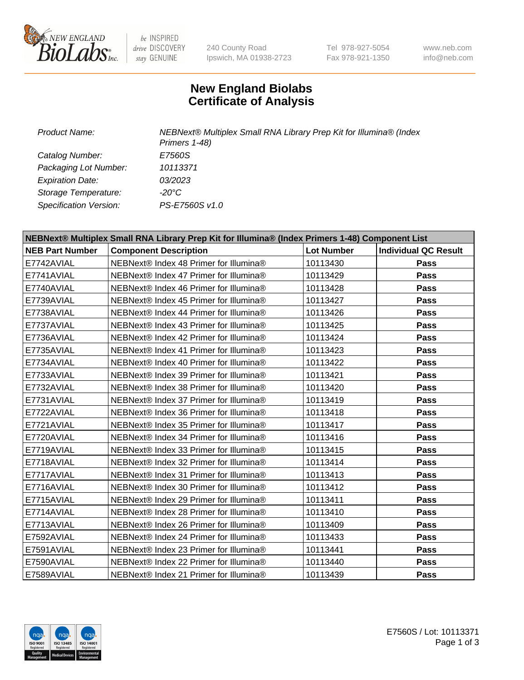

be INSPIRED drive DISCOVERY stay GENUINE

240 County Road Ipswich, MA 01938-2723 Tel 978-927-5054 Fax 978-921-1350

www.neb.com info@neb.com

## **New England Biolabs Certificate of Analysis**

*Product Name: NEBNext® Multiplex Small RNA Library Prep Kit for Illumina® (Index Primers 1-48) Catalog Number: E7560S Packaging Lot Number: 10113371 Expiration Date: 03/2023 Storage Temperature: -20°C Specification Version: PS-E7560S v1.0*

| NEBNext® Multiplex Small RNA Library Prep Kit for Illumina® (Index Primers 1-48) Component List |                                        |                   |                             |  |
|-------------------------------------------------------------------------------------------------|----------------------------------------|-------------------|-----------------------------|--|
| <b>NEB Part Number</b>                                                                          | <b>Component Description</b>           | <b>Lot Number</b> | <b>Individual QC Result</b> |  |
| E7742AVIAL                                                                                      | NEBNext® Index 48 Primer for Illumina® | 10113430          | Pass                        |  |
| E7741AVIAL                                                                                      | NEBNext® Index 47 Primer for Illumina® | 10113429          | Pass                        |  |
| E7740AVIAL                                                                                      | NEBNext® Index 46 Primer for Illumina® | 10113428          | <b>Pass</b>                 |  |
| E7739AVIAL                                                                                      | NEBNext® Index 45 Primer for Illumina® | 10113427          | <b>Pass</b>                 |  |
| E7738AVIAL                                                                                      | NEBNext® Index 44 Primer for Illumina® | 10113426          | <b>Pass</b>                 |  |
| E7737AVIAL                                                                                      | NEBNext® Index 43 Primer for Illumina® | 10113425          | Pass                        |  |
| E7736AVIAL                                                                                      | NEBNext® Index 42 Primer for Illumina® | 10113424          | <b>Pass</b>                 |  |
| E7735AVIAL                                                                                      | NEBNext® Index 41 Primer for Illumina® | 10113423          | Pass                        |  |
| E7734AVIAL                                                                                      | NEBNext® Index 40 Primer for Illumina® | 10113422          | <b>Pass</b>                 |  |
| E7733AVIAL                                                                                      | NEBNext® Index 39 Primer for Illumina® | 10113421          | <b>Pass</b>                 |  |
| E7732AVIAL                                                                                      | NEBNext® Index 38 Primer for Illumina® | 10113420          | <b>Pass</b>                 |  |
| E7731AVIAL                                                                                      | NEBNext® Index 37 Primer for Illumina® | 10113419          | Pass                        |  |
| E7722AVIAL                                                                                      | NEBNext® Index 36 Primer for Illumina® | 10113418          | Pass                        |  |
| E7721AVIAL                                                                                      | NEBNext® Index 35 Primer for Illumina® | 10113417          | Pass                        |  |
| E7720AVIAL                                                                                      | NEBNext® Index 34 Primer for Illumina® | 10113416          | Pass                        |  |
| E7719AVIAL                                                                                      | NEBNext® Index 33 Primer for Illumina® | 10113415          | Pass                        |  |
| E7718AVIAL                                                                                      | NEBNext® Index 32 Primer for Illumina® | 10113414          | <b>Pass</b>                 |  |
| E7717AVIAL                                                                                      | NEBNext® Index 31 Primer for Illumina® | 10113413          | <b>Pass</b>                 |  |
| E7716AVIAL                                                                                      | NEBNext® Index 30 Primer for Illumina® | 10113412          | Pass                        |  |
| E7715AVIAL                                                                                      | NEBNext® Index 29 Primer for Illumina® | 10113411          | <b>Pass</b>                 |  |
| E7714AVIAL                                                                                      | NEBNext® Index 28 Primer for Illumina® | 10113410          | Pass                        |  |
| E7713AVIAL                                                                                      | NEBNext® Index 26 Primer for Illumina® | 10113409          | Pass                        |  |
| E7592AVIAL                                                                                      | NEBNext® Index 24 Primer for Illumina® | 10113433          | <b>Pass</b>                 |  |
| E7591AVIAL                                                                                      | NEBNext® Index 23 Primer for Illumina® | 10113441          | Pass                        |  |
| E7590AVIAL                                                                                      | NEBNext® Index 22 Primer for Illumina® | 10113440          | <b>Pass</b>                 |  |
| E7589AVIAL                                                                                      | NEBNext® Index 21 Primer for Illumina® | 10113439          | Pass                        |  |

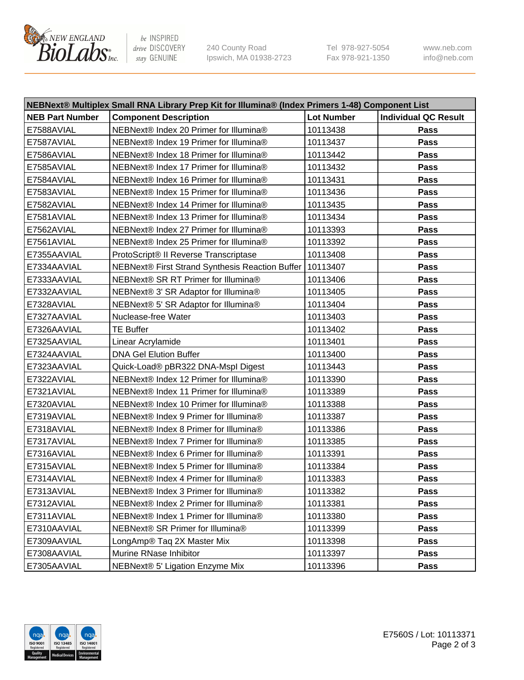

be INSPIRED drive DISCOVERY stay GENUINE

240 County Road Ipswich, MA 01938-2723 Tel 978-927-5054 Fax 978-921-1350 www.neb.com info@neb.com

| NEBNext® Multiplex Small RNA Library Prep Kit for Illumina® (Index Primers 1-48) Component List |                                                            |                   |                             |  |
|-------------------------------------------------------------------------------------------------|------------------------------------------------------------|-------------------|-----------------------------|--|
| <b>NEB Part Number</b>                                                                          | <b>Component Description</b>                               | <b>Lot Number</b> | <b>Individual QC Result</b> |  |
| E7588AVIAL                                                                                      | NEBNext® Index 20 Primer for Illumina®                     | 10113438          | Pass                        |  |
| E7587AVIAL                                                                                      | NEBNext® Index 19 Primer for Illumina®                     | 10113437          | Pass                        |  |
| E7586AVIAL                                                                                      | NEBNext® Index 18 Primer for Illumina®                     | 10113442          | Pass                        |  |
| E7585AVIAL                                                                                      | NEBNext® Index 17 Primer for Illumina®                     | 10113432          | Pass                        |  |
| E7584AVIAL                                                                                      | NEBNext® Index 16 Primer for Illumina®                     | 10113431          | Pass                        |  |
| E7583AVIAL                                                                                      | NEBNext® Index 15 Primer for Illumina®                     | 10113436          | Pass                        |  |
| E7582AVIAL                                                                                      | NEBNext® Index 14 Primer for Illumina®                     | 10113435          | Pass                        |  |
| E7581AVIAL                                                                                      | NEBNext® Index 13 Primer for Illumina®                     | 10113434          | Pass                        |  |
| E7562AVIAL                                                                                      | NEBNext® Index 27 Primer for Illumina®                     | 10113393          | Pass                        |  |
| E7561AVIAL                                                                                      | NEBNext® Index 25 Primer for Illumina®                     | 10113392          | Pass                        |  |
| E7355AAVIAL                                                                                     | ProtoScript® II Reverse Transcriptase                      | 10113408          | Pass                        |  |
| E7334AAVIAL                                                                                     | NEBNext® First Strand Synthesis Reaction Buffer   10113407 |                   | Pass                        |  |
| E7333AAVIAL                                                                                     | NEBNext® SR RT Primer for Illumina®                        | 10113406          | Pass                        |  |
| E7332AAVIAL                                                                                     | NEBNext® 3' SR Adaptor for Illumina®                       | 10113405          | Pass                        |  |
| E7328AVIAL                                                                                      | NEBNext® 5' SR Adaptor for Illumina®                       | 10113404          | Pass                        |  |
| E7327AAVIAL                                                                                     | Nuclease-free Water                                        | 10113403          | Pass                        |  |
| E7326AAVIAL                                                                                     | <b>TE Buffer</b>                                           | 10113402          | Pass                        |  |
| E7325AAVIAL                                                                                     | Linear Acrylamide                                          | 10113401          | Pass                        |  |
| E7324AAVIAL                                                                                     | <b>DNA Gel Elution Buffer</b>                              | 10113400          | Pass                        |  |
| E7323AAVIAL                                                                                     | Quick-Load® pBR322 DNA-Mspl Digest                         | 10113443          | Pass                        |  |
| E7322AVIAL                                                                                      | NEBNext® Index 12 Primer for Illumina®                     | 10113390          | Pass                        |  |
| E7321AVIAL                                                                                      | NEBNext® Index 11 Primer for Illumina®                     | 10113389          | Pass                        |  |
| E7320AVIAL                                                                                      | NEBNext® Index 10 Primer for Illumina®                     | 10113388          | Pass                        |  |
| E7319AVIAL                                                                                      | NEBNext® Index 9 Primer for Illumina®                      | 10113387          | Pass                        |  |
| E7318AVIAL                                                                                      | NEBNext® Index 8 Primer for Illumina®                      | 10113386          | Pass                        |  |
| E7317AVIAL                                                                                      | NEBNext® Index 7 Primer for Illumina®                      | 10113385          | Pass                        |  |
| E7316AVIAL                                                                                      | NEBNext® Index 6 Primer for Illumina®                      | 10113391          | Pass                        |  |
| E7315AVIAL                                                                                      | NEBNext® Index 5 Primer for Illumina®                      | 10113384          | Pass                        |  |
| E7314AVIAL                                                                                      | NEBNext® Index 4 Primer for Illumina®                      | 10113383          | Pass                        |  |
| E7313AVIAL                                                                                      | NEBNext® Index 3 Primer for Illumina®                      | 10113382          | Pass                        |  |
| E7312AVIAL                                                                                      | NEBNext® Index 2 Primer for Illumina®                      | 10113381          | Pass                        |  |
| E7311AVIAL                                                                                      | NEBNext® Index 1 Primer for Illumina®                      | 10113380          | Pass                        |  |
| E7310AAVIAL                                                                                     | NEBNext® SR Primer for Illumina®                           | 10113399          | Pass                        |  |
| E7309AAVIAL                                                                                     | LongAmp® Taq 2X Master Mix                                 | 10113398          | Pass                        |  |
| E7308AAVIAL                                                                                     | Murine RNase Inhibitor                                     | 10113397          | Pass                        |  |
| E7305AAVIAL                                                                                     | NEBNext® 5' Ligation Enzyme Mix                            | 10113396          | Pass                        |  |